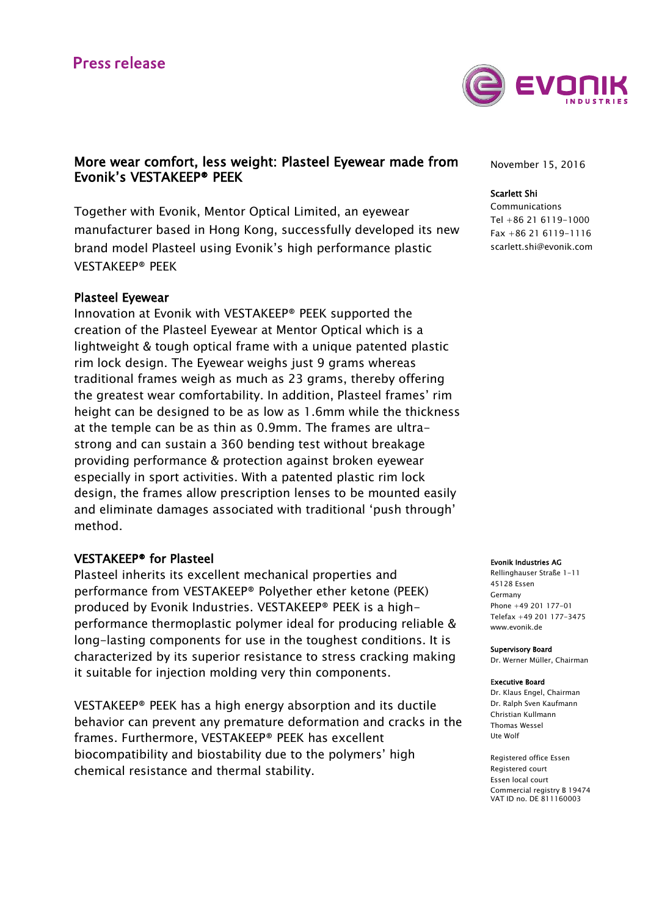

# More wear comfort, less weight: Plasteel Eyewear made from Evonik's VESTAKEEP® PEEK

Together with Evonik, Mentor Optical Limited, an eyewear manufacturer based in Hong Kong, successfully developed its new brand model Plasteel using Evonik's high performance plastic VESTAKEEP® PEEK

## Plasteel Eyewear

Innovation at Evonik with VESTAKEEP® PEEK supported the creation of the Plasteel Eyewear at Mentor Optical which is a lightweight & tough optical frame with a unique patented plastic rim lock design. The Eyewear weighs just 9 grams whereas traditional frames weigh as much as 23 grams, thereby offering the greatest wear comfortability. In addition, Plasteel frames' rim height can be designed to be as low as 1.6mm while the thickness at the temple can be as thin as 0.9mm. The frames are ultrastrong and can sustain a 360 bending test without breakage providing performance & protection against broken eyewear especially in sport activities. With a patented plastic rim lock design, the frames allow prescription lenses to be mounted easily and eliminate damages associated with traditional 'push through' method.

## VESTAKEEP® for Plasteel

Plasteel inherits its excellent mechanical properties and performance from VESTAKEEP® Polyether ether ketone (PEEK) produced by Evonik Industries. VESTAKEEP® PEEK is a highperformance thermoplastic polymer ideal for producing reliable & long-lasting components for use in the toughest conditions. It is characterized by its superior resistance to stress cracking making it suitable for injection molding very thin components.

VESTAKEEP® PEEK has a high energy absorption and its ductile behavior can prevent any premature deformation and cracks in the frames. Furthermore, VESTAKEEP® PEEK has excellent biocompatibility and biostability due to the polymers' high chemical resistance and thermal stability.

November 15, 2016

#### Scarlett Shi

Communications Tel +86 21 6119-1000 Fax +86 21 6119-1116 [scarlett.shi@evonik.com](mailto:scarlett.shi@evonik.com)

#### Evonik Industries AG

Rellinghauser Straße 1-11 45128 Essen Germany Phone +49 201 177-01 Telefax +49 201 177-3475 www.evonik.de

Supervisory Board Dr. Werner Müller, Chairman

#### Executive Board

Dr. Klaus Engel, Chairman Dr. Ralph Sven Kaufmann Christian Kullmann Thomas Wessel Ute Wolf

Registered office Essen Registered court Essen local court Commercial registry B 19474 VAT ID no. DE 811160003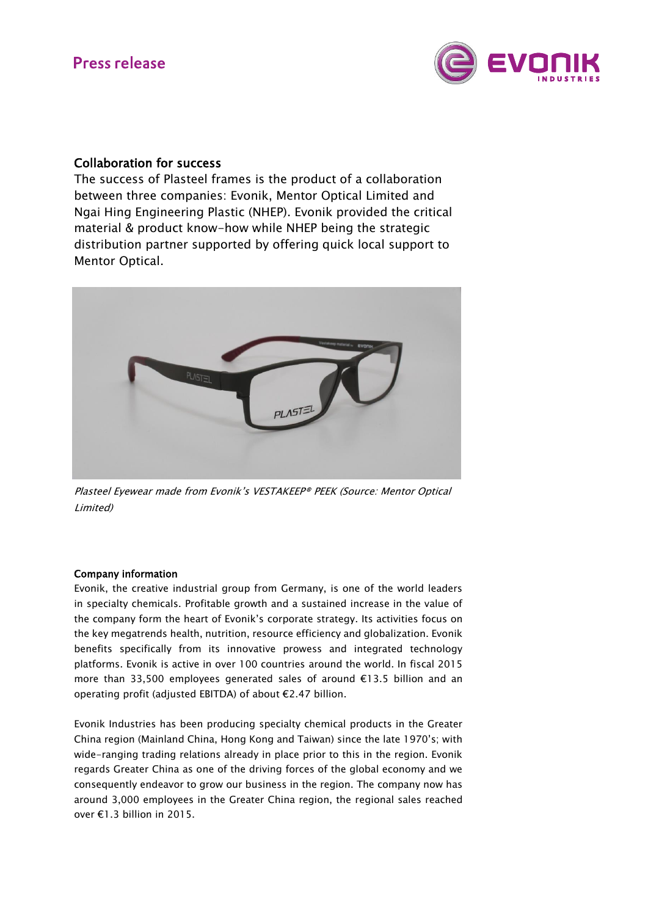

# Collaboration for success

The success of Plasteel frames is the product of a collaboration between three companies: Evonik, Mentor Optical Limited and Ngai Hing Engineering Plastic (NHEP). Evonik provided the critical material & product know-how while NHEP being the strategic distribution partner supported by offering quick local support to Mentor Optical.



Plasteel Eyewear made from Evonik's VESTAKEEP® PEEK (Source: Mentor Optical Limited)

## Company information

Evonik, the creative industrial group from Germany, is one of the world leaders in specialty chemicals. Profitable growth and a sustained increase in the value of the company form the heart of Evonik's corporate strategy. Its activities focus on the key megatrends health, nutrition, resource efficiency and globalization. Evonik benefits specifically from its innovative prowess and integrated technology platforms. Evonik is active in over 100 countries around the world. In fiscal 2015 more than 33,500 employees generated sales of around €13.5 billion and an operating profit (adjusted EBITDA) of about €2.47 billion.

Evonik Industries has been producing specialty chemical products in the Greater China region (Mainland China, Hong Kong and Taiwan) since the late 1970's; with wide-ranging trading relations already in place prior to this in the region. Evonik regards Greater China as one of the driving forces of the global economy and we consequently endeavor to grow our business in the region. The company now has around 3,000 employees in the Greater China region, the regional sales reached over €1.3 billion in 2015.